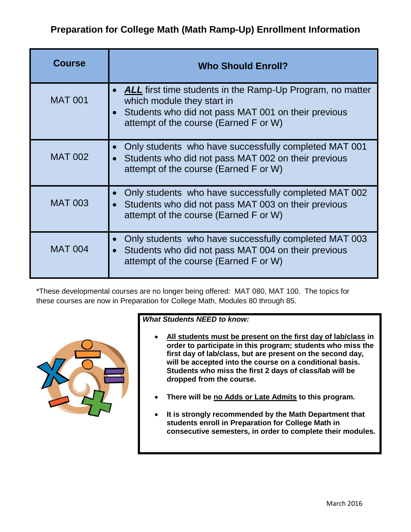## **Preparation for College Math (Math Ramp-Up) Enrollment Information**

| <b>Course</b>  | <b>Who Should Enroll?</b>                                                                                                                                                                      |
|----------------|------------------------------------------------------------------------------------------------------------------------------------------------------------------------------------------------|
| <b>MAT 001</b> | <b>ALL</b> first time students in the Ramp-Up Program, no matter<br>which module they start in<br>Students who did not pass MAT 001 on their previous<br>attempt of the course (Earned F or W) |
| <b>MAT 002</b> | Only students who have successfully completed MAT 001<br>Students who did not pass MAT 002 on their previous<br>attempt of the course (Earned F or W)                                          |
| <b>MAT 003</b> | Only students who have successfully completed MAT 002<br>$\bullet$<br>Students who did not pass MAT 003 on their previous<br>attempt of the course (Earned F or W)                             |
| <b>MAT 004</b> | Only students who have successfully completed MAT 003<br>Students who did not pass MAT 004 on their previous<br>$\bullet$<br>attempt of the course (Earned F or W)                             |

\*These developmental courses are no longer being offered: MAT 080, MAT 100. The topics for these courses are now in Preparation for College Math, Modules 80 through 85.



## *What Students NEED to know:*

- **All students must be present on the first day of lab/class in order to participate in this program; students who miss the first day of lab/class, but are present on the second day, will be accepted into the course on a conditional basis. Students who miss the first 2 days of class/lab will be dropped from the course.**
- **There will be no Adds or Late Admits to this program.**
- **It is strongly recommended by the Math Department that students enroll in Preparation for College Math in consecutive semesters, in order to complete their modules.**